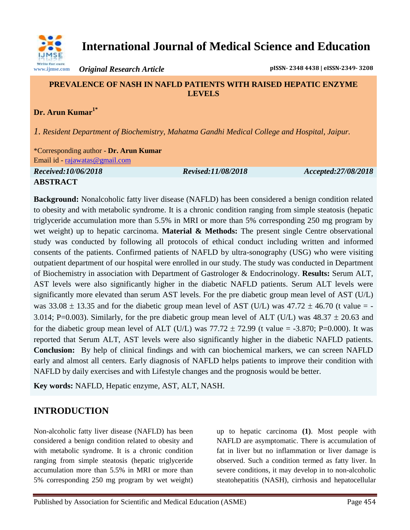

**International Journal of Medical Science and Education**

*Original Research Article* **pISSN- 2348 4438 | eISSN-2349- 3208**

#### **PREVALENCE OF NASH IN NAFLD PATIENTS WITH RAISED HEPATIC ENZYME LEVELS**

## **Dr. Arun Kumar1\***

*1. Resident Department of Biochemistry, Mahatma Gandhi Medical College and Hospital, Jaipur.*

\*Corresponding author - **Dr. Arun Kumar** Email id - [rajawatas@gmail.com](mailto:rajawatas@gmail.com)

*Received:10/06/2018 Revised:11/08/2018 Accepted:27/08/2018* **ABSTRACT**

**Background:** Nonalcoholic fatty liver disease (NAFLD) has been considered a benign condition related to obesity and with metabolic syndrome. It is a chronic condition ranging from simple steatosis (hepatic triglyceride accumulation more than 5.5% in MRI or more than 5% corresponding 250 mg program by wet weight) up to hepatic carcinoma. **Material & Methods:** The present single Centre observational study was conducted by following all protocols of ethical conduct including written and informed consents of the patients. Confirmed patients of NAFLD by ultra-sonography (USG) who were visiting outpatient department of our hospital were enrolled in our study. The study was conducted in Department of Biochemistry in association with Department of Gastrologer & Endocrinology. **Results:** Serum ALT, AST levels were also significantly higher in the diabetic NAFLD patients. Serum ALT levels were significantly more elevated than serum AST levels. For the pre diabetic group mean level of AST (U/L) was  $33.08 \pm 13.35$  and for the diabetic group mean level of AST (U/L) was  $47.72 \pm 46.70$  (t value = -3.014; P=0.003). Similarly, for the pre diabetic group mean level of ALT (U/L) was  $48.37 \pm 20.63$  and for the diabetic group mean level of ALT (U/L) was  $77.72 \pm 72.99$  (t value = -3.870; P=0.000). It was reported that Serum ALT, AST levels were also significantly higher in the diabetic NAFLD patients. **Conclusion:** By help of clinical findings and with can biochemical markers, we can screen NAFLD early and almost all centers. Early diagnosis of NAFLD helps patients to improve their condition with NAFLD by daily exercises and with Lifestyle changes and the prognosis would be better.

**Key words:** NAFLD, Hepatic enzyme, AST, ALT, NASH.

# **INTRODUCTION**

Non-alcoholic fatty liver disease (NAFLD) has been considered a benign condition related to obesity and with metabolic syndrome. It is a chronic condition ranging from simple steatosis (hepatic triglyceride accumulation more than 5.5% in MRI or more than 5% corresponding 250 mg program by wet weight)

up to hepatic carcinoma **(1)**. Most people with NAFLD are asymptomatic. There is accumulation of fat in liver but no inflammation or liver damage is observed. Such a condition termed as fatty liver. In severe conditions, it may develop in to non-alcoholic steatohepatitis (NASH), cirrhosis and hepatocellular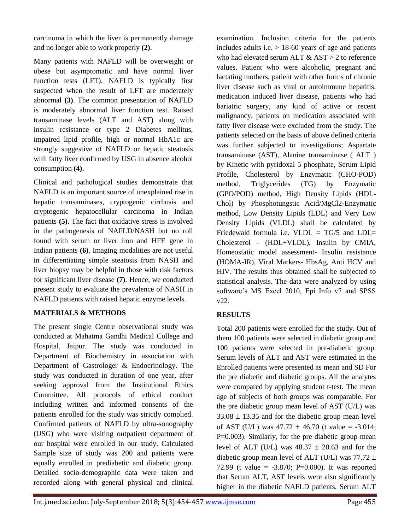carcinoma in which the liver is permanently damage and no longer able to work properly **(2)**.

Many patients with NAFLD will be overweight or obese but asymptomatic and have normal liver function tests (LFT). NAFLD is typically first suspected when the result of LFT are moderately abnormal **(3)**. The common presentation of NAFLD is moderately abnormal liver function test. Raised transaminase levels (ALT and AST) along with insulin resistance or type 2 Diabetes mellitus, impaired lipid profile, high or normal HbA1c are strongly suggestive of NAFLD or hepatic steatosis with fatty liver confirmed by USG in absence alcohol consumption **(4)**.

Clinical and pathological studies demonstrate that NAFLD is an important source of unexplained rise in hepatic transaminases, cryptogenic cirrhosis and cryptogenic hepatocellular carcinoma in Indian patients **(5)**. The fact that oxidative stress is involved in the pathogenesis of NAFLD/NASH but no roll found with serum or liver iron and HFE gene in Indian patients **(6)**. Imaging modalities are not useful in differentiating simple steatosis from NASH and liver biopsy may be helpful in those with risk factors for significant liver disease **(7)**. Hence, we conducted present study to evaluate the prevalence of NASH in NAFLD patients with raised hepatic enzyme levels.

### **MATERIALS & METHODS**

The present single Centre observational study was conducted at Mahatma Gandhi Medical College and Hospital, Jaipur. The study was conducted in Department of Biochemistry in association with Department of Gastrologer & Endocrinology. The study was conducted in duration of one year, after seeking approval from the Institutional Ethics Committee. All protocols of ethical conduct including written and informed consents of the patients enrolled for the study was strictly complied. Confirmed patients of NAFLD by ultra-sonography (USG) who were visiting outpatient department of our hospital were enrolled in our study. Calculated Sample size of study was 200 and patients were equally enrolled in prediabetic and diabetic group. Detailed socio-demographic data were taken and recorded along with general physical and clinical

examination. Inclusion criteria for the patients includes adults i.e.  $> 18-60$  years of age and patients who had elevated serum ALT & AST > 2 to reference values. Patient who were alcoholic, pregnant and lactating mothers, patient with other forms of chronic liver disease such as viral or autoimmune hepatitis, medication induced liver disease, patients who had bariatric surgery, any kind of active or recent malignancy, patients on medication associated with fatty liver disease were excluded from the study. The patients selected on the basis of above defined criteria was further subjected to investigations; Aspartate transaminase (AST), Alanine transaminase ( ALT ) by Kinetic with pyridoxal 5 phosphate, Serum Lipid Profile, Cholesterol by Enzymatic (CHO-POD) method, Triglycerides (TG) by Enzymatic (GPO/POD) method, High Density Lipids (HDL-Chol) by Phosphotungstic Acid/MgCl2-Enzymatic method, Low Density Lipids (LDL) and Very Low Density Lipids (VLDL) shall be calculated by Friedewald formula i.e. VLDL =  $TG/5$  and LDL= Cholesterol – (HDL+VLDL), Insulin by CMIA, Homeostatic model assessment- Insulin resistance (HOMA-IR), Viral Markers- HbsAg, Anti HCV and HIV. The results thus obtained shall be subjected to statistical analysis. The data were analyzed by using software's MS Excel 2010, Epi Info v7 and SPSS v22.

### **RESULTS**

Total 200 patients were enrolled for the study. Out of them 100 patients were selected in diabetic group and 100 patients were selected in pre-diabetic group. Serum levels of ALT and AST were estimated in the Enrolled patients were presented as mean and SD For the pre diabetic and diabetic groups. All the analytes were compared by applying student t-test. The mean age of subjects of both groups was comparable. For the pre diabetic group mean level of AST (U/L) was  $33.08 \pm 13.35$  and for the diabetic group mean level of AST (U/L) was  $47.72 \pm 46.70$  (t value = -3.014; P=0.003). Similarly, for the pre diabetic group mean level of ALT (U/L) was  $48.37 \pm 20.63$  and for the diabetic group mean level of ALT (U/L) was  $77.72 \pm$ 72.99 (t value =  $-3.870$ ; P=0.000). It was reported that Serum ALT, AST levels were also significantly higher in the diabetic NAFLD patients. Serum ALT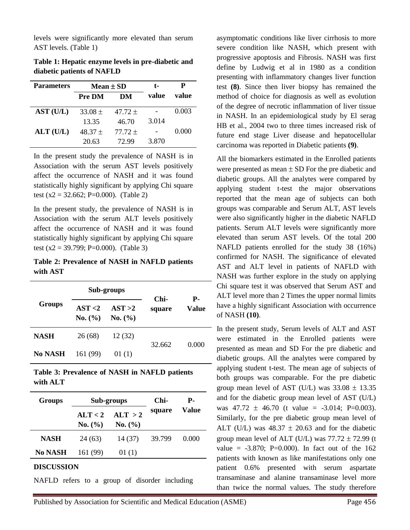levels were significantly more elevated than serum AST levels. (Table 1)

**Table 1: Hepatic enzyme levels in pre-diabetic and diabetic patients of NAFLD**

| <b>Parameters</b> | Mean $\pm$ SD |           | t-    | Р     |
|-------------------|---------------|-----------|-------|-------|
|                   | Pre DM        | DM        | value | value |
| AST (U/L)         | $33.08 \pm$   | $47.72 +$ |       | 0.003 |
|                   | 13.35         | 46.70     | 3.014 |       |
| $ALT$ (U/L)       | $48.37 \pm$   | $77.72 +$ |       | 0.000 |
|                   | 20.63         | 72.99     | 3.870 |       |

In the present study the prevalence of NASH is in Association with the serum AST levels positively affect the occurrence of NASH and it was found statistically highly significant by applying Chi square test (x2 = 32.662; P=0.000). (Table 2)

In the present study, the prevalence of NASH is in Association with the serum ALT levels positively affect the occurrence of NASH and it was found statistically highly significant by applying Chi square test (x2 = 39.799; P=0.000). (Table 3)

**Table 2: Prevalence of NASH in NAFLD patients with AST**

| <b>Groups</b> | Sub-groups         |                    | Chi-   | Р.    |
|---------------|--------------------|--------------------|--------|-------|
|               | AST < 2<br>No. (%) | AST > 2<br>No. (%) | square | Value |
| <b>NASH</b>   | 26(68)             | 12 (32)            | 32.662 | 0.000 |
| No NASH       | 161 (99)           | 01(1)              |        |       |

**Table 3: Prevalence of NASH in NAFLD patients with ALT**

| <b>Groups</b> | Sub-groups         |                    | Chi-   | Р.    |
|---------------|--------------------|--------------------|--------|-------|
|               | ATT < 2<br>No. (%) | ALT > 2<br>No. (%) | square | Value |
| <b>NASH</b>   | 24(63)             | 14 (37)            | 39.799 | 0.000 |
| No NASH       | 161 (99)           | 01(1)              |        |       |

#### **DISCUSSION**

NAFLD refers to a group of disorder including

asymptomatic conditions like liver cirrhosis to more severe condition like NASH, which present with progressive apoptosis and Fibrosis. NASH was first define by Ludwig et al in 1980 as a condition presenting with inflammatory changes liver function test **(8)**. Since then liver biopsy has remained the method of choice for diagnosis as well as evolution of the degree of necrotic inflammation of liver tissue in NASH. In an epidemiological study by El serag HB et al., 2004 two to three times increased risk of future end stage Liver disease and hepatocellular carcinoma was reported in Diabetic patients **(9)**.

All the biomarkers estimated in the Enrolled patients were presented as mean  $\pm$  SD For the pre diabetic and diabetic groups. All the analytes were compared by applying student t-test the major observations reported that the mean age of subjects can both groups was comparable and Serum ALT, AST levels were also significantly higher in the diabetic NAFLD patients. Serum ALT levels were significantly more elevated than serum AST levels. Of the total 200 NAFLD patients enrolled for the study 38 (16%) confirmed for NASH. The significance of elevated AST and ALT level in patients of NAFLD with NASH was further explore in the study on applying Chi square test it was observed that Serum AST and ALT level more than 2 Times the upper normal limits have a highly significant Association with occurrence of NASH **(10)**.

In the present study, Serum levels of ALT and AST were estimated in the Enrolled patients were presented as mean and SD For the pre diabetic and diabetic groups. All the analytes were compared by applying student t-test. The mean age of subjects of both groups was comparable. For the pre diabetic group mean level of AST (U/L) was  $33.08 \pm 13.35$ and for the diabetic group mean level of AST (U/L) was  $47.72 \pm 46.70$  (t value = -3.014; P=0.003). Similarly, for the pre diabetic group mean level of ALT (U/L) was  $48.37 \pm 20.63$  and for the diabetic group mean level of ALT (U/L) was  $77.72 \pm 72.99$  (t value =  $-3.870$ ; P=0.000). In fact out of the 162 patients with known as like manifestations only one patient 0.6% presented with serum aspartate transaminase and alanine transaminase level more than twice the normal values. The study therefore